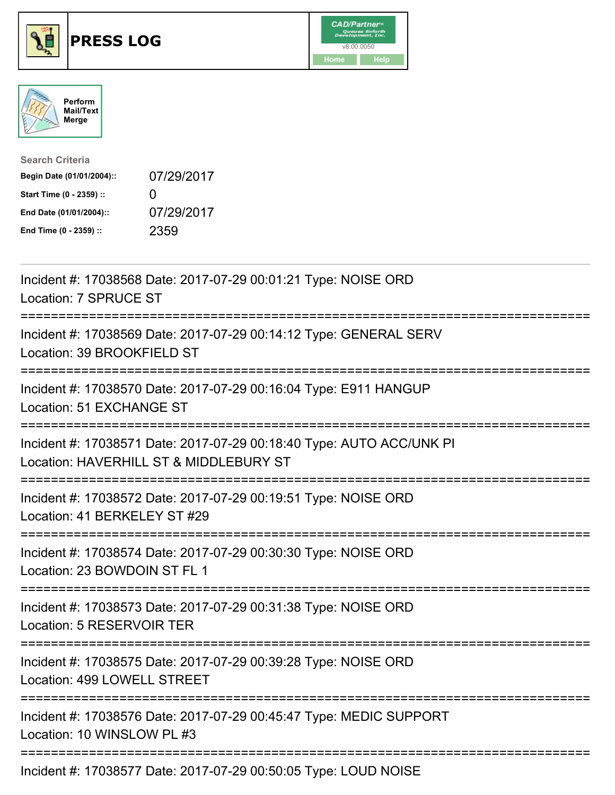





| <b>Search Criteria</b>    |                   |
|---------------------------|-------------------|
| Begin Date (01/01/2004):: | 07/29/2017        |
| Start Time (0 - 2359) ::  | $\mathbf{\Omega}$ |
| End Date (01/01/2004)::   | 07/29/2017        |
| End Time (0 - 2359) ::    | 2359              |

| Incident #: 17038568 Date: 2017-07-29 00:01:21 Type: NOISE ORD<br>Location: 7 SPRUCE ST                                                           |
|---------------------------------------------------------------------------------------------------------------------------------------------------|
| Incident #: 17038569 Date: 2017-07-29 00:14:12 Type: GENERAL SERV<br>Location: 39 BROOKFIELD ST                                                   |
| Incident #: 17038570 Date: 2017-07-29 00:16:04 Type: E911 HANGUP<br>Location: 51 EXCHANGE ST<br>----------------                                  |
| Incident #: 17038571 Date: 2017-07-29 00:18:40 Type: AUTO ACC/UNK PI<br>Location: HAVERHILL ST & MIDDLEBURY ST<br>:============================== |
| Incident #: 17038572 Date: 2017-07-29 00:19:51 Type: NOISE ORD<br>Location: 41 BERKELEY ST #29                                                    |
| Incident #: 17038574 Date: 2017-07-29 00:30:30 Type: NOISE ORD<br>Location: 23 BOWDOIN ST FL 1                                                    |
| Incident #: 17038573 Date: 2017-07-29 00:31:38 Type: NOISE ORD<br>Location: 5 RESERVOIR TER                                                       |
| Incident #: 17038575 Date: 2017-07-29 00:39:28 Type: NOISE ORD<br>Location: 499 LOWELL STREET                                                     |
| Incident #: 17038576 Date: 2017-07-29 00:45:47 Type: MEDIC SUPPORT<br>Location: 10 WINSLOW PL #3                                                  |
| :=====================================<br>Incident #: 17038577 Date: 2017-07-29 00:50:05 Type: LOUD NOISE                                         |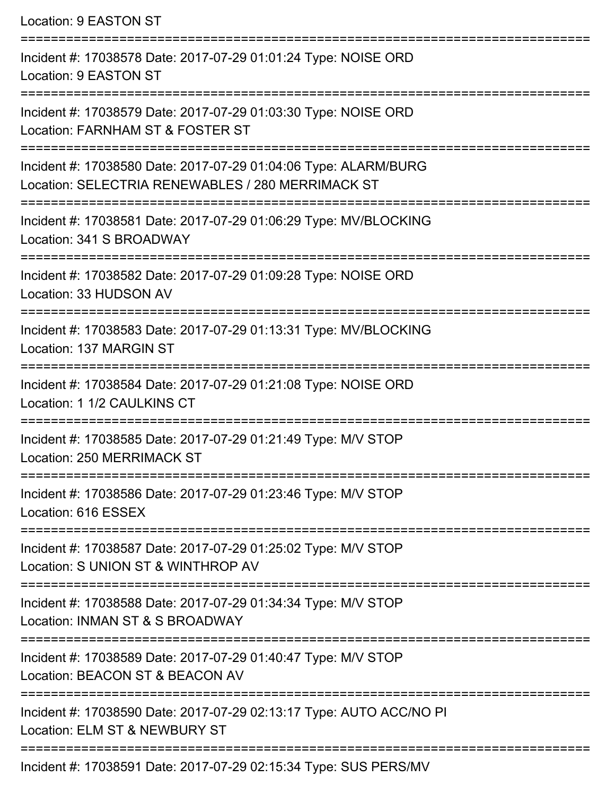Location: 9 EASTON ST =========================================================================== Incident #: 17038578 Date: 2017-07-29 01:01:24 Type: NOISE ORD Location: 9 EASTON ST =========================================================================== Incident #: 17038579 Date: 2017-07-29 01:03:30 Type: NOISE ORD Location: FARNHAM ST & FOSTER ST =========================================================================== Incident #: 17038580 Date: 2017-07-29 01:04:06 Type: ALARM/BURG Location: SELECTRIA RENEWABLES / 280 MERRIMACK ST =========================================================================== Incident #: 17038581 Date: 2017-07-29 01:06:29 Type: MV/BLOCKING Location: 341 S BROADWAY =========================================================================== Incident #: 17038582 Date: 2017-07-29 01:09:28 Type: NOISE ORD Location: 33 HUDSON AV =========================================================================== Incident #: 17038583 Date: 2017-07-29 01:13:31 Type: MV/BLOCKING Location: 137 MARGIN ST =========================================================================== Incident #: 17038584 Date: 2017-07-29 01:21:08 Type: NOISE ORD Location: 1 1/2 CAULKINS CT =========================================================================== Incident #: 17038585 Date: 2017-07-29 01:21:49 Type: M/V STOP Location: 250 MERRIMACK ST =========================================================================== Incident #: 17038586 Date: 2017-07-29 01:23:46 Type: M/V STOP Location: 616 ESSEX =========================================================================== Incident #: 17038587 Date: 2017-07-29 01:25:02 Type: M/V STOP Location: S UNION ST & WINTHROP AV =========================================================================== Incident #: 17038588 Date: 2017-07-29 01:34:34 Type: M/V STOP Location: INMAN ST & S BROADWAY =========================================================================== Incident #: 17038589 Date: 2017-07-29 01:40:47 Type: M/V STOP Location: BEACON ST & BEACON AV =========================================================================== Incident #: 17038590 Date: 2017-07-29 02:13:17 Type: AUTO ACC/NO PI Location: ELM ST & NEWBURY ST =========================================================================== Incident #: 17038591 Date: 2017-07-29 02:15:34 Type: SUS PERS/MV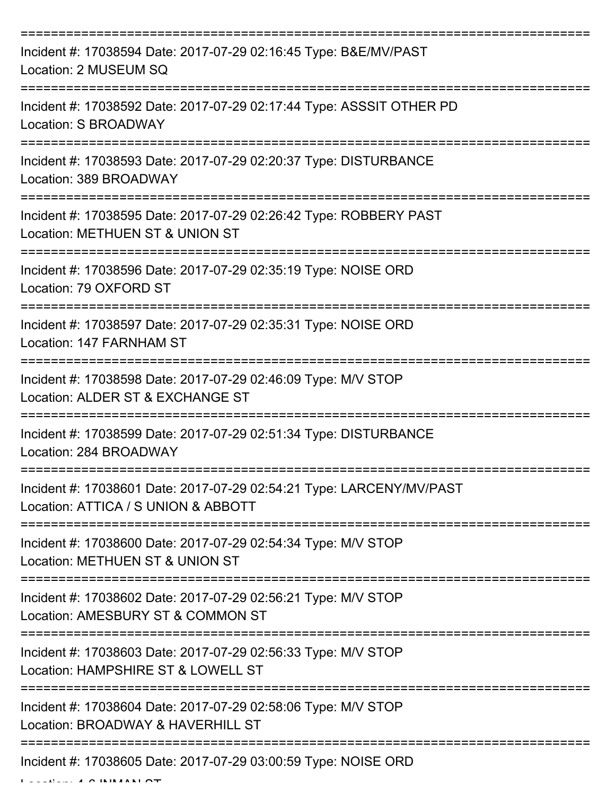| Incident #: 17038594 Date: 2017-07-29 02:16:45 Type: B&E/MV/PAST<br>Location: 2 MUSEUM SQ                   |
|-------------------------------------------------------------------------------------------------------------|
| Incident #: 17038592 Date: 2017-07-29 02:17:44 Type: ASSSIT OTHER PD<br>Location: S BROADWAY                |
| Incident #: 17038593 Date: 2017-07-29 02:20:37 Type: DISTURBANCE<br>Location: 389 BROADWAY                  |
| Incident #: 17038595 Date: 2017-07-29 02:26:42 Type: ROBBERY PAST<br>Location: METHUEN ST & UNION ST        |
| Incident #: 17038596 Date: 2017-07-29 02:35:19 Type: NOISE ORD<br>Location: 79 OXFORD ST                    |
| Incident #: 17038597 Date: 2017-07-29 02:35:31 Type: NOISE ORD<br>Location: 147 FARNHAM ST                  |
| Incident #: 17038598 Date: 2017-07-29 02:46:09 Type: M/V STOP<br>Location: ALDER ST & EXCHANGE ST           |
| Incident #: 17038599 Date: 2017-07-29 02:51:34 Type: DISTURBANCE<br>Location: 284 BROADWAY                  |
| Incident #: 17038601 Date: 2017-07-29 02:54:21 Type: LARCENY/MV/PAST<br>Location: ATTICA / S UNION & ABBOTT |
| Incident #: 17038600 Date: 2017-07-29 02:54:34 Type: M/V STOP<br>Location: METHUEN ST & UNION ST            |
| Incident #: 17038602 Date: 2017-07-29 02:56:21 Type: M/V STOP<br>Location: AMESBURY ST & COMMON ST          |
| Incident #: 17038603 Date: 2017-07-29 02:56:33 Type: M/V STOP<br>Location: HAMPSHIRE ST & LOWELL ST         |
| Incident #: 17038604 Date: 2017-07-29 02:58:06 Type: M/V STOP<br>Location: BROADWAY & HAVERHILL ST          |
| Incident #: 17038605 Date: 2017-07-29 03:00:59 Type: NOISE ORD                                              |

 $L = L L L L L L A \wedge I N I N A N L \wedge T$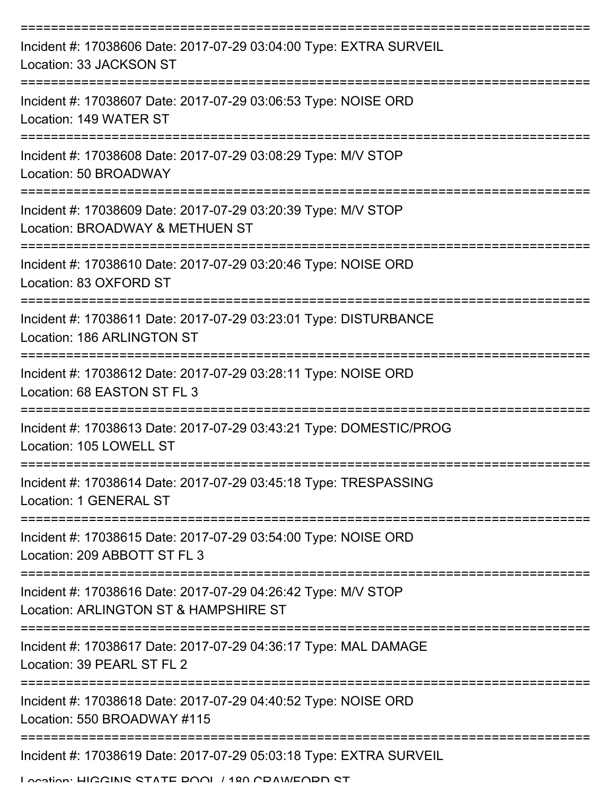| Incident #: 17038606 Date: 2017-07-29 03:04:00 Type: EXTRA SURVEIL<br>Location: 33 JACKSON ST          |
|--------------------------------------------------------------------------------------------------------|
| Incident #: 17038607 Date: 2017-07-29 03:06:53 Type: NOISE ORD<br>Location: 149 WATER ST               |
| Incident #: 17038608 Date: 2017-07-29 03:08:29 Type: M/V STOP<br>Location: 50 BROADWAY                 |
| Incident #: 17038609 Date: 2017-07-29 03:20:39 Type: M/V STOP<br>Location: BROADWAY & METHUEN ST       |
| Incident #: 17038610 Date: 2017-07-29 03:20:46 Type: NOISE ORD<br>Location: 83 OXFORD ST               |
| Incident #: 17038611 Date: 2017-07-29 03:23:01 Type: DISTURBANCE<br>Location: 186 ARLINGTON ST         |
| Incident #: 17038612 Date: 2017-07-29 03:28:11 Type: NOISE ORD<br>Location: 68 EASTON ST FL 3          |
| Incident #: 17038613 Date: 2017-07-29 03:43:21 Type: DOMESTIC/PROG<br>Location: 105 LOWELL ST          |
| Incident #: 17038614 Date: 2017-07-29 03:45:18 Type: TRESPASSING<br>Location: 1 GENERAL ST             |
| Incident #: 17038615 Date: 2017-07-29 03:54:00 Type: NOISE ORD<br>Location: 209 ABBOTT ST FL 3         |
| Incident #: 17038616 Date: 2017-07-29 04:26:42 Type: M/V STOP<br>Location: ARLINGTON ST & HAMPSHIRE ST |
| Incident #: 17038617 Date: 2017-07-29 04:36:17 Type: MAL DAMAGE<br>Location: 39 PEARL ST FL 2          |
| Incident #: 17038618 Date: 2017-07-29 04:40:52 Type: NOISE ORD<br>Location: 550 BROADWAY #115          |
| Incident #: 17038619 Date: 2017-07-29 05:03:18 Type: EXTRA SURVEIL                                     |

Location: HIGGINS STATE DOOL / 180 CDAMEODD ST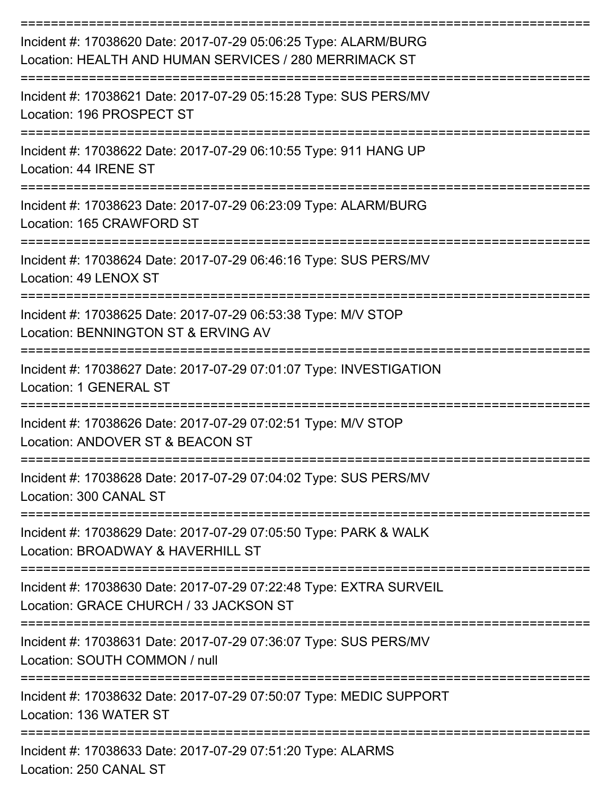| Incident #: 17038620 Date: 2017-07-29 05:06:25 Type: ALARM/BURG<br>Location: HEALTH AND HUMAN SERVICES / 280 MERRIMACK ST |
|---------------------------------------------------------------------------------------------------------------------------|
| Incident #: 17038621 Date: 2017-07-29 05:15:28 Type: SUS PERS/MV<br>Location: 196 PROSPECT ST                             |
| Incident #: 17038622 Date: 2017-07-29 06:10:55 Type: 911 HANG UP<br>Location: 44 IRENE ST                                 |
| Incident #: 17038623 Date: 2017-07-29 06:23:09 Type: ALARM/BURG<br>Location: 165 CRAWFORD ST                              |
| Incident #: 17038624 Date: 2017-07-29 06:46:16 Type: SUS PERS/MV<br>Location: 49 LENOX ST                                 |
| Incident #: 17038625 Date: 2017-07-29 06:53:38 Type: M/V STOP<br>Location: BENNINGTON ST & ERVING AV                      |
| Incident #: 17038627 Date: 2017-07-29 07:01:07 Type: INVESTIGATION<br>Location: 1 GENERAL ST                              |
| Incident #: 17038626 Date: 2017-07-29 07:02:51 Type: M/V STOP<br>Location: ANDOVER ST & BEACON ST                         |
| Incident #: 17038628 Date: 2017-07-29 07:04:02 Type: SUS PERS/MV<br>Location: 300 CANAL ST                                |
| ----------------<br>Incident #: 17038629 Date: 2017-07-29 07:05:50 Type: PARK & WALK<br>Location: BROADWAY & HAVERHILL ST |
| Incident #: 17038630 Date: 2017-07-29 07:22:48 Type: EXTRA SURVEIL<br>Location: GRACE CHURCH / 33 JACKSON ST              |
| Incident #: 17038631 Date: 2017-07-29 07:36:07 Type: SUS PERS/MV<br>Location: SOUTH COMMON / null                         |
| Incident #: 17038632 Date: 2017-07-29 07:50:07 Type: MEDIC SUPPORT<br>Location: 136 WATER ST                              |
| Incident #: 17038633 Date: 2017-07-29 07:51:20 Type: ALARMS<br>Location: OEO CANIAL CT                                    |

Location: 250 CANAL ST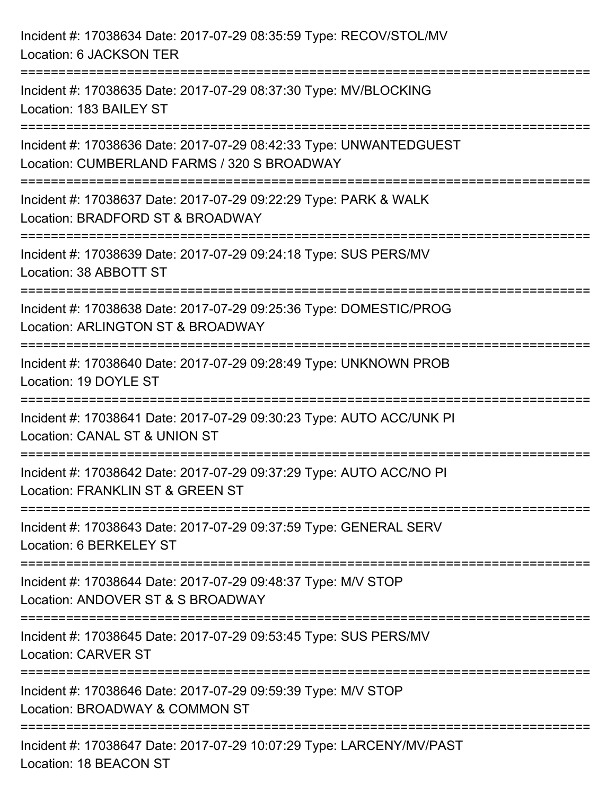| Incident #: 17038634 Date: 2017-07-29 08:35:59 Type: RECOV/STOL/MV<br>Location: 6 JACKSON TER                        |
|----------------------------------------------------------------------------------------------------------------------|
| Incident #: 17038635 Date: 2017-07-29 08:37:30 Type: MV/BLOCKING<br>Location: 183 BAILEY ST<br>--------------------- |
| Incident #: 17038636 Date: 2017-07-29 08:42:33 Type: UNWANTEDGUEST<br>Location: CUMBERLAND FARMS / 320 S BROADWAY    |
| Incident #: 17038637 Date: 2017-07-29 09:22:29 Type: PARK & WALK<br>Location: BRADFORD ST & BROADWAY                 |
| Incident #: 17038639 Date: 2017-07-29 09:24:18 Type: SUS PERS/MV<br>Location: 38 ABBOTT ST                           |
| Incident #: 17038638 Date: 2017-07-29 09:25:36 Type: DOMESTIC/PROG<br>Location: ARLINGTON ST & BROADWAY              |
| --------------------<br>Incident #: 17038640 Date: 2017-07-29 09:28:49 Type: UNKNOWN PROB<br>Location: 19 DOYLE ST   |
| Incident #: 17038641 Date: 2017-07-29 09:30:23 Type: AUTO ACC/UNK PI<br>Location: CANAL ST & UNION ST                |
| Incident #: 17038642 Date: 2017-07-29 09:37:29 Type: AUTO ACC/NO PI<br>Location: FRANKLIN ST & GREEN ST              |
| Incident #: 17038643 Date: 2017-07-29 09:37:59 Type: GENERAL SERV<br>Location: 6 BERKELEY ST                         |
| Incident #: 17038644 Date: 2017-07-29 09:48:37 Type: M/V STOP<br>Location: ANDOVER ST & S BROADWAY                   |
| Incident #: 17038645 Date: 2017-07-29 09:53:45 Type: SUS PERS/MV<br><b>Location: CARVER ST</b>                       |
| Incident #: 17038646 Date: 2017-07-29 09:59:39 Type: M/V STOP<br>Location: BROADWAY & COMMON ST                      |
| Incident #: 17038647 Date: 2017-07-29 10:07:29 Type: LARCENY/MV/PAST<br>Location: 18 BEACON ST                       |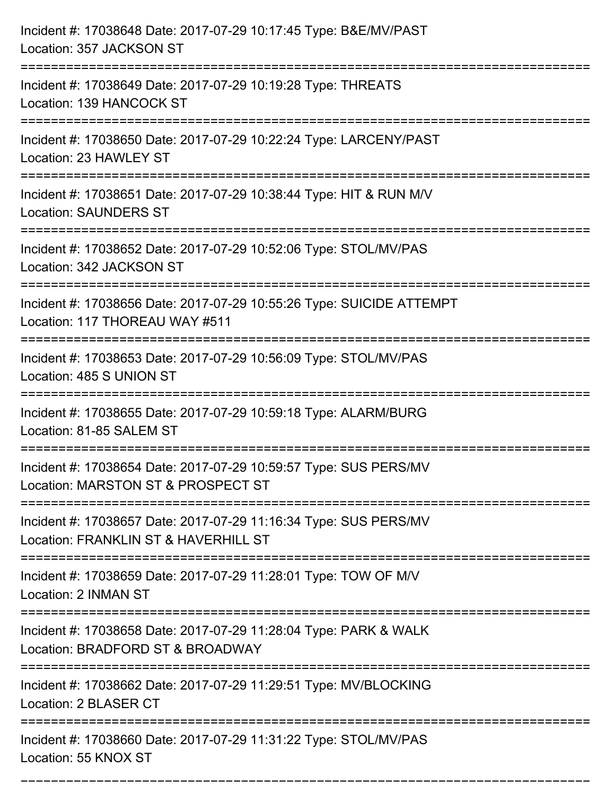| Incident #: 17038648 Date: 2017-07-29 10:17:45 Type: B&E/MV/PAST<br>Location: 357 JACKSON ST                             |
|--------------------------------------------------------------------------------------------------------------------------|
| Incident #: 17038649 Date: 2017-07-29 10:19:28 Type: THREATS<br>Location: 139 HANCOCK ST                                 |
| Incident #: 17038650 Date: 2017-07-29 10:22:24 Type: LARCENY/PAST<br>Location: 23 HAWLEY ST<br>:======================== |
| Incident #: 17038651 Date: 2017-07-29 10:38:44 Type: HIT & RUN M/V<br><b>Location: SAUNDERS ST</b>                       |
| Incident #: 17038652 Date: 2017-07-29 10:52:06 Type: STOL/MV/PAS<br>Location: 342 JACKSON ST                             |
| Incident #: 17038656 Date: 2017-07-29 10:55:26 Type: SUICIDE ATTEMPT<br>Location: 117 THOREAU WAY #511                   |
| Incident #: 17038653 Date: 2017-07-29 10:56:09 Type: STOL/MV/PAS<br>Location: 485 S UNION ST                             |
| Incident #: 17038655 Date: 2017-07-29 10:59:18 Type: ALARM/BURG<br>Location: 81-85 SALEM ST                              |
| Incident #: 17038654 Date: 2017-07-29 10:59:57 Type: SUS PERS/MV<br>Location: MARSTON ST & PROSPECT ST                   |
| Incident #: 17038657 Date: 2017-07-29 11:16:34 Type: SUS PERS/MV<br>Location: FRANKLIN ST & HAVERHILL ST                 |
| Incident #: 17038659 Date: 2017-07-29 11:28:01 Type: TOW OF M/V<br>Location: 2 INMAN ST                                  |
| Incident #: 17038658 Date: 2017-07-29 11:28:04 Type: PARK & WALK<br>Location: BRADFORD ST & BROADWAY                     |
| Incident #: 17038662 Date: 2017-07-29 11:29:51 Type: MV/BLOCKING<br>Location: 2 BLASER CT                                |
| Incident #: 17038660 Date: 2017-07-29 11:31:22 Type: STOL/MV/PAS<br>Location: 55 KNOX ST                                 |

===========================================================================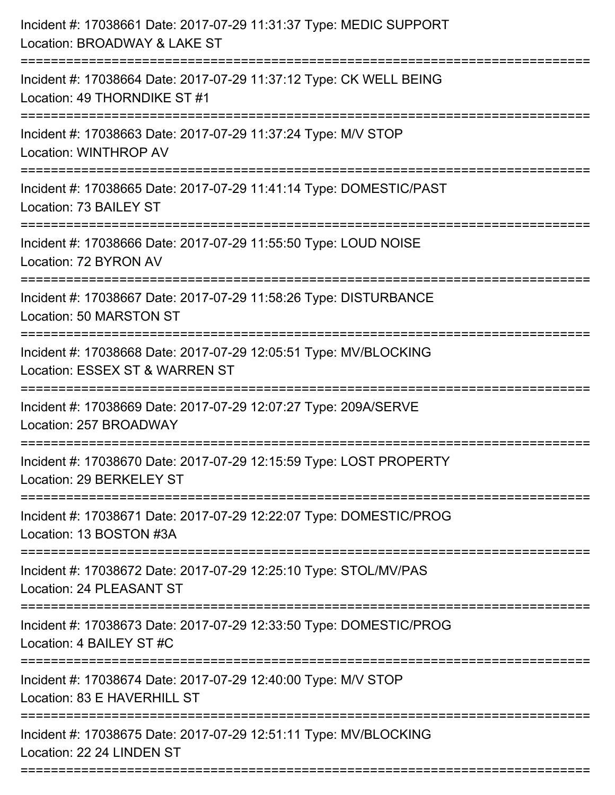| Incident #: 17038661 Date: 2017-07-29 11:31:37 Type: MEDIC SUPPORT<br>Location: BROADWAY & LAKE ST                                        |
|-------------------------------------------------------------------------------------------------------------------------------------------|
| ==========================<br>Incident #: 17038664 Date: 2017-07-29 11:37:12 Type: CK WELL BEING<br>Location: 49 THORNDIKE ST #1          |
| Incident #: 17038663 Date: 2017-07-29 11:37:24 Type: M/V STOP<br><b>Location: WINTHROP AV</b>                                             |
| Incident #: 17038665 Date: 2017-07-29 11:41:14 Type: DOMESTIC/PAST<br>Location: 73 BAILEY ST                                              |
| Incident #: 17038666 Date: 2017-07-29 11:55:50 Type: LOUD NOISE<br>Location: 72 BYRON AV<br>--------------------------------              |
| Incident #: 17038667 Date: 2017-07-29 11:58:26 Type: DISTURBANCE<br>Location: 50 MARSTON ST                                               |
| Incident #: 17038668 Date: 2017-07-29 12:05:51 Type: MV/BLOCKING<br>Location: ESSEX ST & WARREN ST<br>=================================== |
| Incident #: 17038669 Date: 2017-07-29 12:07:27 Type: 209A/SERVE<br>Location: 257 BROADWAY                                                 |
| Incident #: 17038670 Date: 2017-07-29 12:15:59 Type: LOST PROPERTY<br>Location: 29 BERKELEY ST                                            |
| Incident #: 17038671 Date: 2017-07-29 12:22:07 Type: DOMESTIC/PROG<br>Location: 13 BOSTON #3A                                             |
| Incident #: 17038672 Date: 2017-07-29 12:25:10 Type: STOL/MV/PAS<br>Location: 24 PLEASANT ST                                              |
| Incident #: 17038673 Date: 2017-07-29 12:33:50 Type: DOMESTIC/PROG<br>Location: 4 BAILEY ST #C                                            |
| Incident #: 17038674 Date: 2017-07-29 12:40:00 Type: M/V STOP<br>Location: 83 E HAVERHILL ST                                              |
| Incident #: 17038675 Date: 2017-07-29 12:51:11 Type: MV/BLOCKING<br>Location: 22 24 LINDEN ST                                             |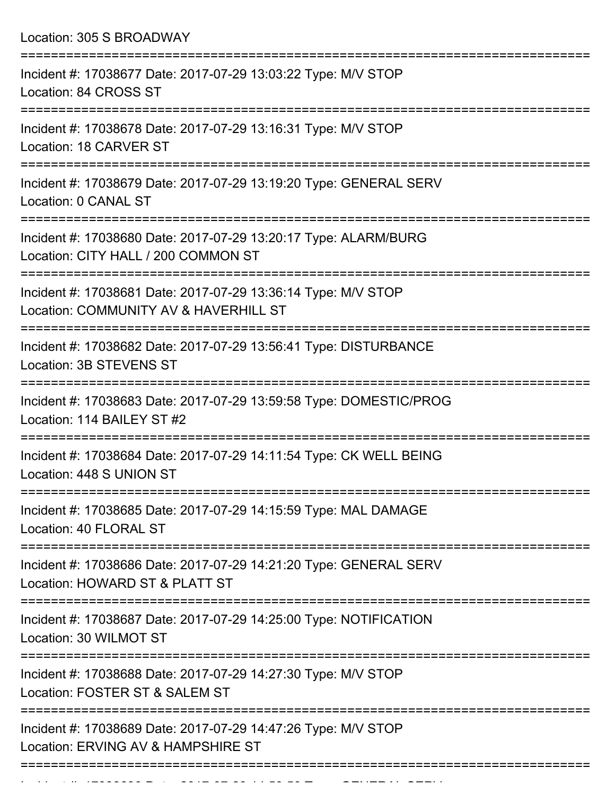| Location: 305 S BROADWAY<br>:======================                                                                                            |
|------------------------------------------------------------------------------------------------------------------------------------------------|
| Incident #: 17038677 Date: 2017-07-29 13:03:22 Type: M/V STOP<br>Location: 84 CROSS ST                                                         |
| Incident #: 17038678 Date: 2017-07-29 13:16:31 Type: M/V STOP<br>Location: 18 CARVER ST                                                        |
| Incident #: 17038679 Date: 2017-07-29 13:19:20 Type: GENERAL SERV<br>Location: 0 CANAL ST                                                      |
| Incident #: 17038680 Date: 2017-07-29 13:20:17 Type: ALARM/BURG<br>Location: CITY HALL / 200 COMMON ST<br>------------------------------------ |
| Incident #: 17038681 Date: 2017-07-29 13:36:14 Type: M/V STOP<br>Location: COMMUNITY AV & HAVERHILL ST                                         |
| Incident #: 17038682 Date: 2017-07-29 13:56:41 Type: DISTURBANCE<br>Location: 3B STEVENS ST<br>:=================================              |
| Incident #: 17038683 Date: 2017-07-29 13:59:58 Type: DOMESTIC/PROG<br>Location: 114 BAILEY ST #2                                               |
| Incident #: 17038684 Date: 2017-07-29 14:11:54 Type: CK WELL BEING<br>Location: 448 S UNION ST                                                 |
| Incident #: 17038685 Date: 2017-07-29 14:15:59 Type: MAL DAMAGE<br>Location: 40 FLORAL ST                                                      |
| Incident #: 17038686 Date: 2017-07-29 14:21:20 Type: GENERAL SERV<br>Location: HOWARD ST & PLATT ST                                            |
| Incident #: 17038687 Date: 2017-07-29 14:25:00 Type: NOTIFICATION<br>Location: 30 WILMOT ST                                                    |
| Incident #: 17038688 Date: 2017-07-29 14:27:30 Type: M/V STOP<br>Location: FOSTER ST & SALEM ST                                                |
| Incident #: 17038689 Date: 2017-07-29 14:47:26 Type: M/V STOP<br>Location: ERVING AV & HAMPSHIRE ST                                            |

Incident #: 17038690 Date: 2017 07 29 14:50 Date: 2017 07 29 14:50:50 Type: GENERAL SERVICE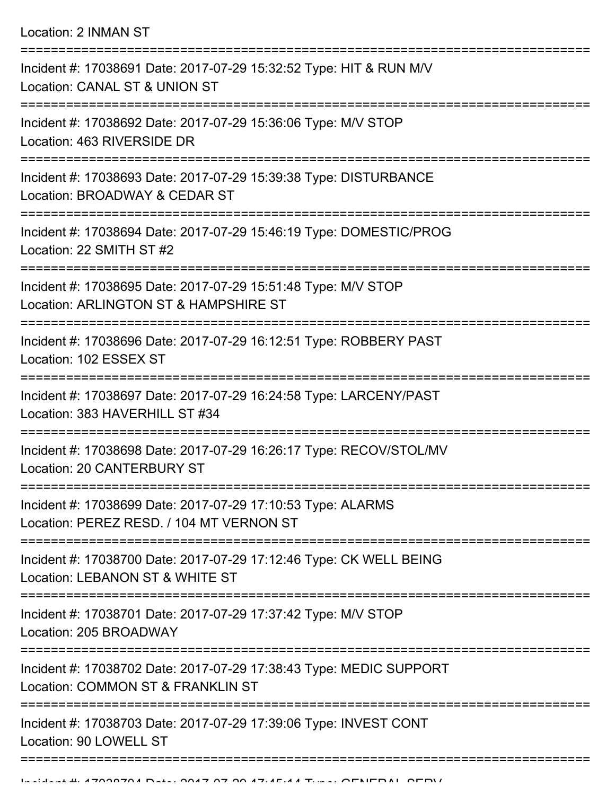Location: 2 INMAN ST

| Incident #: 17038691 Date: 2017-07-29 15:32:52 Type: HIT & RUN M/V<br>Location: CANAL ST & UNION ST     |
|---------------------------------------------------------------------------------------------------------|
| Incident #: 17038692 Date: 2017-07-29 15:36:06 Type: M/V STOP<br>Location: 463 RIVERSIDE DR             |
| Incident #: 17038693 Date: 2017-07-29 15:39:38 Type: DISTURBANCE<br>Location: BROADWAY & CEDAR ST       |
| Incident #: 17038694 Date: 2017-07-29 15:46:19 Type: DOMESTIC/PROG<br>Location: 22 SMITH ST #2          |
| Incident #: 17038695 Date: 2017-07-29 15:51:48 Type: M/V STOP<br>Location: ARLINGTON ST & HAMPSHIRE ST  |
| Incident #: 17038696 Date: 2017-07-29 16:12:51 Type: ROBBERY PAST<br>Location: 102 ESSEX ST             |
| Incident #: 17038697 Date: 2017-07-29 16:24:58 Type: LARCENY/PAST<br>Location: 383 HAVERHILL ST #34     |
| Incident #: 17038698 Date: 2017-07-29 16:26:17 Type: RECOV/STOL/MV<br>Location: 20 CANTERBURY ST        |
| Incident #: 17038699 Date: 2017-07-29 17:10:53 Type: ALARMS<br>Location: PEREZ RESD. / 104 MT VERNON ST |
| Incident #: 17038700 Date: 2017-07-29 17:12:46 Type: CK WELL BEING<br>Location: LEBANON ST & WHITE ST   |
| Incident #: 17038701 Date: 2017-07-29 17:37:42 Type: M/V STOP<br>Location: 205 BROADWAY                 |
| Incident #: 17038702 Date: 2017-07-29 17:38:43 Type: MEDIC SUPPORT<br>Location: COMMON ST & FRANKLIN ST |
| Incident #: 17038703 Date: 2017-07-29 17:39:06 Type: INVEST CONT<br>Location: 90 LOWELL ST              |
|                                                                                                         |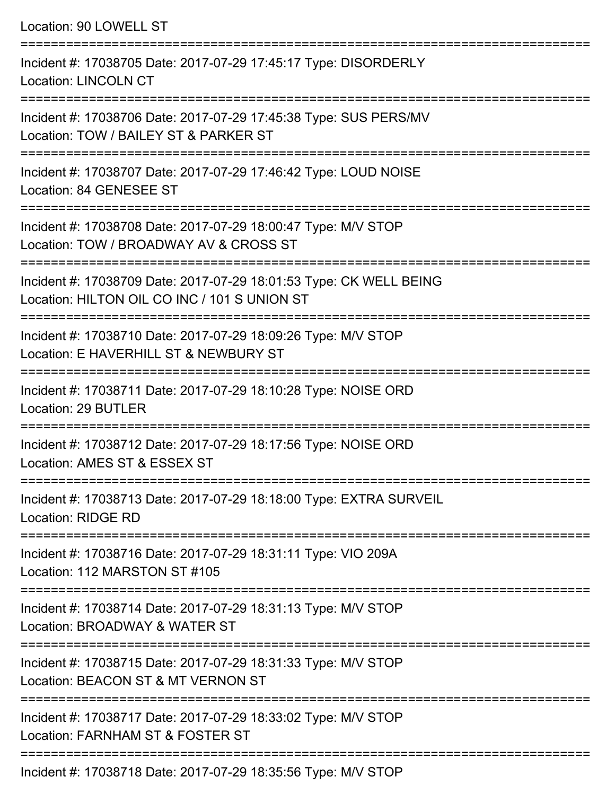Location: 90 LOWELL ST

| Incident #: 17038705 Date: 2017-07-29 17:45:17 Type: DISORDERLY<br><b>Location: LINCOLN CT</b>                     |
|--------------------------------------------------------------------------------------------------------------------|
| Incident #: 17038706 Date: 2017-07-29 17:45:38 Type: SUS PERS/MV<br>Location: TOW / BAILEY ST & PARKER ST          |
| Incident #: 17038707 Date: 2017-07-29 17:46:42 Type: LOUD NOISE<br>Location: 84 GENESEE ST                         |
| Incident #: 17038708 Date: 2017-07-29 18:00:47 Type: M/V STOP<br>Location: TOW / BROADWAY AV & CROSS ST            |
| Incident #: 17038709 Date: 2017-07-29 18:01:53 Type: CK WELL BEING<br>Location: HILTON OIL CO INC / 101 S UNION ST |
| Incident #: 17038710 Date: 2017-07-29 18:09:26 Type: M/V STOP<br>Location: E HAVERHILL ST & NEWBURY ST             |
| Incident #: 17038711 Date: 2017-07-29 18:10:28 Type: NOISE ORD<br>Location: 29 BUTLER                              |
| Incident #: 17038712 Date: 2017-07-29 18:17:56 Type: NOISE ORD<br>Location: AMES ST & ESSEX ST                     |
| Incident #: 17038713 Date: 2017-07-29 18:18:00 Type: EXTRA SURVEIL<br><b>Location: RIDGE RD</b>                    |
| Incident #: 17038716 Date: 2017-07-29 18:31:11 Type: VIO 209A<br>Location: 112 MARSTON ST #105                     |
| Incident #: 17038714 Date: 2017-07-29 18:31:13 Type: M/V STOP<br>Location: BROADWAY & WATER ST                     |
| Incident #: 17038715 Date: 2017-07-29 18:31:33 Type: M/V STOP<br>Location: BEACON ST & MT VERNON ST                |
| Incident #: 17038717 Date: 2017-07-29 18:33:02 Type: M/V STOP<br>Location: FARNHAM ST & FOSTER ST                  |
| Incident #: 17038718 Date: 2017-07-20 18:35:56 Type: MA/ STOD                                                      |

Incident #: 17038718 Date: 2017-07-29 18:35:56 Type: M/V STOP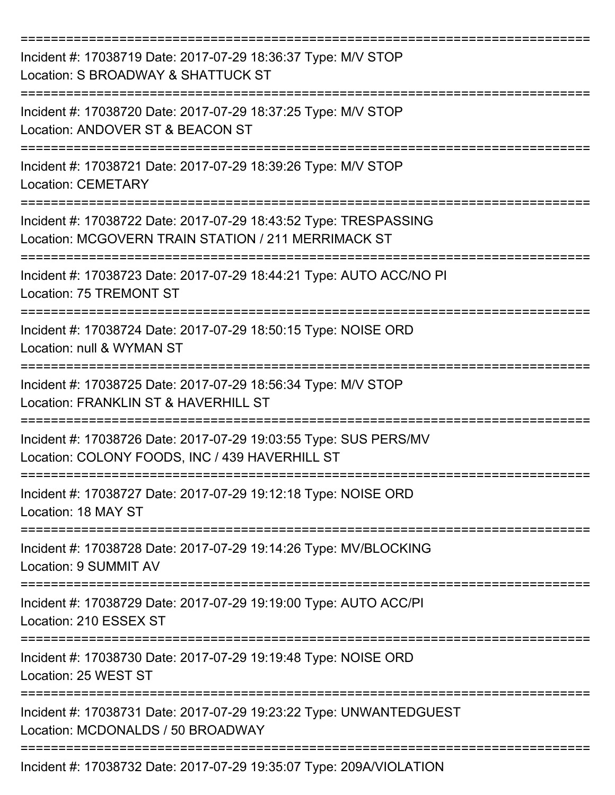| Incident #: 17038719 Date: 2017-07-29 18:36:37 Type: M/V STOP<br>Location: S BROADWAY & SHATTUCK ST                     |
|-------------------------------------------------------------------------------------------------------------------------|
| Incident #: 17038720 Date: 2017-07-29 18:37:25 Type: M/V STOP<br>Location: ANDOVER ST & BEACON ST                       |
| Incident #: 17038721 Date: 2017-07-29 18:39:26 Type: M/V STOP<br><b>Location: CEMETARY</b>                              |
| Incident #: 17038722 Date: 2017-07-29 18:43:52 Type: TRESPASSING<br>Location: MCGOVERN TRAIN STATION / 211 MERRIMACK ST |
| Incident #: 17038723 Date: 2017-07-29 18:44:21 Type: AUTO ACC/NO PI<br>Location: 75 TREMONT ST                          |
| Incident #: 17038724 Date: 2017-07-29 18:50:15 Type: NOISE ORD<br>Location: null & WYMAN ST                             |
| Incident #: 17038725 Date: 2017-07-29 18:56:34 Type: M/V STOP<br>Location: FRANKLIN ST & HAVERHILL ST                   |
| Incident #: 17038726 Date: 2017-07-29 19:03:55 Type: SUS PERS/MV<br>Location: COLONY FOODS, INC / 439 HAVERHILL ST      |
| Incident #: 17038727 Date: 2017-07-29 19:12:18 Type: NOISE ORD<br>Location: 18 MAY ST                                   |
| Incident #: 17038728 Date: 2017-07-29 19:14:26 Type: MV/BLOCKING<br>Location: 9 SUMMIT AV                               |
| Incident #: 17038729 Date: 2017-07-29 19:19:00 Type: AUTO ACC/PI<br>Location: 210 ESSEX ST                              |
| Incident #: 17038730 Date: 2017-07-29 19:19:48 Type: NOISE ORD<br>Location: 25 WEST ST                                  |
| Incident #: 17038731 Date: 2017-07-29 19:23:22 Type: UNWANTEDGUEST<br>Location: MCDONALDS / 50 BROADWAY                 |
| Incident #: 17038732 Date: 2017-07-29 19:35:07 Type: 209A/VIOLATION                                                     |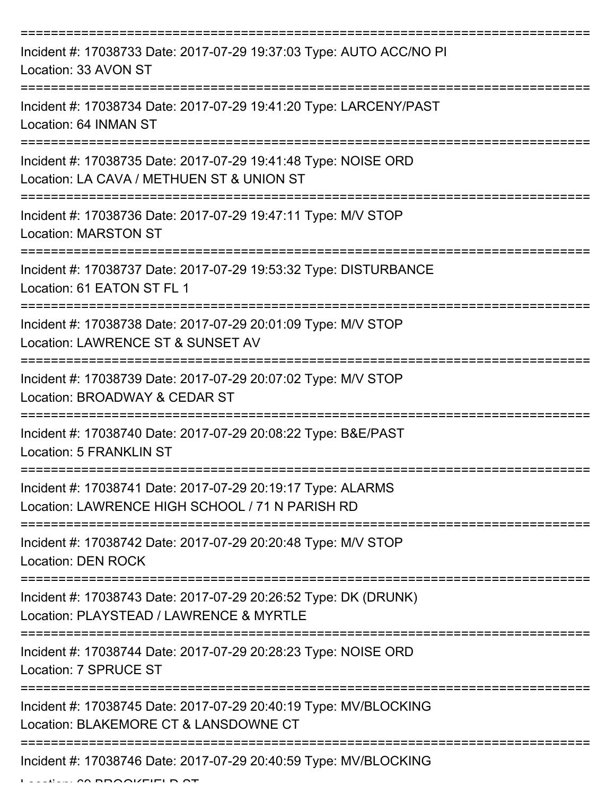| Incident #: 17038733 Date: 2017-07-29 19:37:03 Type: AUTO ACC/NO PI<br>Location: 33 AVON ST                    |
|----------------------------------------------------------------------------------------------------------------|
| Incident #: 17038734 Date: 2017-07-29 19:41:20 Type: LARCENY/PAST<br>Location: 64 INMAN ST                     |
| Incident #: 17038735 Date: 2017-07-29 19:41:48 Type: NOISE ORD<br>Location: LA CAVA / METHUEN ST & UNION ST    |
| Incident #: 17038736 Date: 2017-07-29 19:47:11 Type: M/V STOP<br><b>Location: MARSTON ST</b>                   |
| Incident #: 17038737 Date: 2017-07-29 19:53:32 Type: DISTURBANCE<br>Location: 61 EATON ST FL 1                 |
| Incident #: 17038738 Date: 2017-07-29 20:01:09 Type: M/V STOP<br>Location: LAWRENCE ST & SUNSET AV             |
| Incident #: 17038739 Date: 2017-07-29 20:07:02 Type: M/V STOP<br>Location: BROADWAY & CEDAR ST                 |
| Incident #: 17038740 Date: 2017-07-29 20:08:22 Type: B&E/PAST<br><b>Location: 5 FRANKLIN ST</b>                |
| Incident #: 17038741 Date: 2017-07-29 20:19:17 Type: ALARMS<br>Location: LAWRENCE HIGH SCHOOL / 71 N PARISH RD |
| Incident #: 17038742 Date: 2017-07-29 20:20:48 Type: M/V STOP<br>Location: DEN ROCK                            |
| Incident #: 17038743 Date: 2017-07-29 20:26:52 Type: DK (DRUNK)<br>Location: PLAYSTEAD / LAWRENCE & MYRTLE     |
| Incident #: 17038744 Date: 2017-07-29 20:28:23 Type: NOISE ORD<br>Location: 7 SPRUCE ST                        |
| Incident #: 17038745 Date: 2017-07-29 20:40:19 Type: MV/BLOCKING<br>Location: BLAKEMORE CT & LANSDOWNE CT      |
| Incident #: 17038746 Date: 2017-07-29 20:40:59 Type: MV/BLOCKING                                               |

 $L$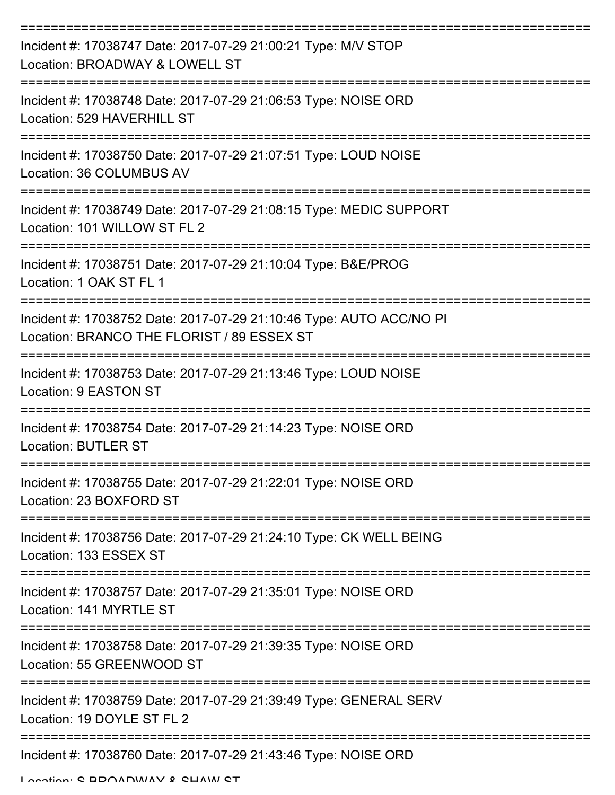| Incident #: 17038747 Date: 2017-07-29 21:00:21 Type: M/V STOP<br>Location: BROADWAY & LOWELL ST                   |
|-------------------------------------------------------------------------------------------------------------------|
| Incident #: 17038748 Date: 2017-07-29 21:06:53 Type: NOISE ORD<br>Location: 529 HAVERHILL ST                      |
| Incident #: 17038750 Date: 2017-07-29 21:07:51 Type: LOUD NOISE<br>Location: 36 COLUMBUS AV                       |
| Incident #: 17038749 Date: 2017-07-29 21:08:15 Type: MEDIC SUPPORT<br>Location: 101 WILLOW ST FL 2                |
| Incident #: 17038751 Date: 2017-07-29 21:10:04 Type: B&E/PROG<br>Location: 1 OAK ST FL 1                          |
| Incident #: 17038752 Date: 2017-07-29 21:10:46 Type: AUTO ACC/NO PI<br>Location: BRANCO THE FLORIST / 89 ESSEX ST |
| Incident #: 17038753 Date: 2017-07-29 21:13:46 Type: LOUD NOISE<br>Location: 9 EASTON ST                          |
| Incident #: 17038754 Date: 2017-07-29 21:14:23 Type: NOISE ORD<br><b>Location: BUTLER ST</b>                      |
| Incident #: 17038755 Date: 2017-07-29 21:22:01 Type: NOISE ORD<br>Location: 23 BOXFORD ST                         |
| Incident #: 17038756 Date: 2017-07-29 21:24:10 Type: CK WELL BEING<br>Location: 133 ESSEX ST                      |
| Incident #: 17038757 Date: 2017-07-29 21:35:01 Type: NOISE ORD<br>Location: 141 MYRTLE ST                         |
| Incident #: 17038758 Date: 2017-07-29 21:39:35 Type: NOISE ORD<br>Location: 55 GREENWOOD ST                       |
| Incident #: 17038759 Date: 2017-07-29 21:39:49 Type: GENERAL SERV<br>Location: 19 DOYLE ST FL 2                   |
| Incident #: 17038760 Date: 2017-07-29 21:43:46 Type: NOISE ORD                                                    |

Location: S BROADWAY & SHAW ST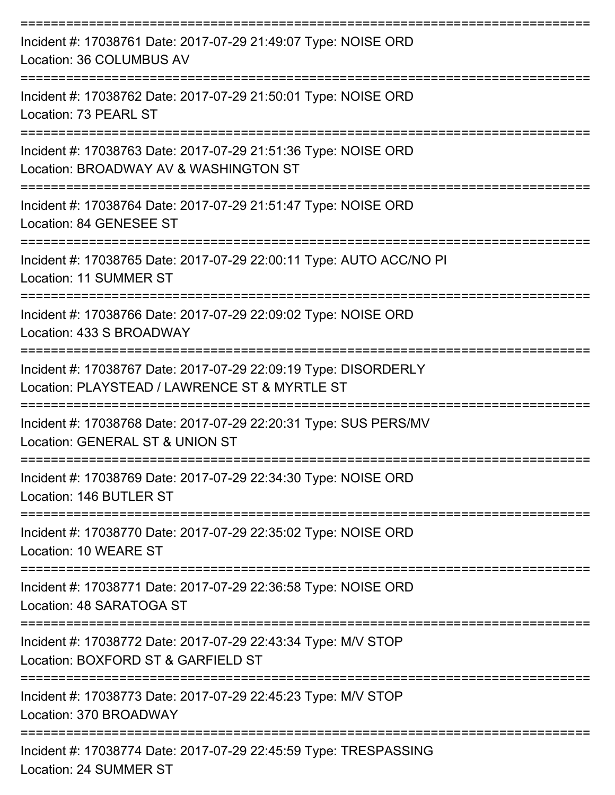| Incident #: 17038761 Date: 2017-07-29 21:49:07 Type: NOISE ORD<br>Location: 36 COLUMBUS AV                                    |
|-------------------------------------------------------------------------------------------------------------------------------|
| Incident #: 17038762 Date: 2017-07-29 21:50:01 Type: NOISE ORD<br>Location: 73 PEARL ST                                       |
| Incident #: 17038763 Date: 2017-07-29 21:51:36 Type: NOISE ORD<br>Location: BROADWAY AV & WASHINGTON ST                       |
| Incident #: 17038764 Date: 2017-07-29 21:51:47 Type: NOISE ORD<br>Location: 84 GENESEE ST                                     |
| Incident #: 17038765 Date: 2017-07-29 22:00:11 Type: AUTO ACC/NO PI<br><b>Location: 11 SUMMER ST</b>                          |
| Incident #: 17038766 Date: 2017-07-29 22:09:02 Type: NOISE ORD<br>Location: 433 S BROADWAY                                    |
| Incident #: 17038767 Date: 2017-07-29 22:09:19 Type: DISORDERLY<br>Location: PLAYSTEAD / LAWRENCE ST & MYRTLE ST              |
| Incident #: 17038768 Date: 2017-07-29 22:20:31 Type: SUS PERS/MV<br>Location: GENERAL ST & UNION ST                           |
| Incident #: 17038769 Date: 2017-07-29 22:34:30 Type: NOISE ORD<br>Location: 146 BUTLER ST                                     |
| ===================<br>Incident #: 17038770 Date: 2017-07-29 22:35:02 Type: NOISE ORD<br>Location: 10 WEARE ST                |
| Incident #: 17038771 Date: 2017-07-29 22:36:58 Type: NOISE ORD<br>Location: 48 SARATOGA ST                                    |
| Incident #: 17038772 Date: 2017-07-29 22:43:34 Type: M/V STOP<br>Location: BOXFORD ST & GARFIELD ST                           |
| Incident #: 17038773 Date: 2017-07-29 22:45:23 Type: M/V STOP<br>Location: 370 BROADWAY                                       |
| ===============================<br>Incident #: 17038774 Date: 2017-07-29 22:45:59 Type: TRESPASSING<br>Location: 24 SUMMER ST |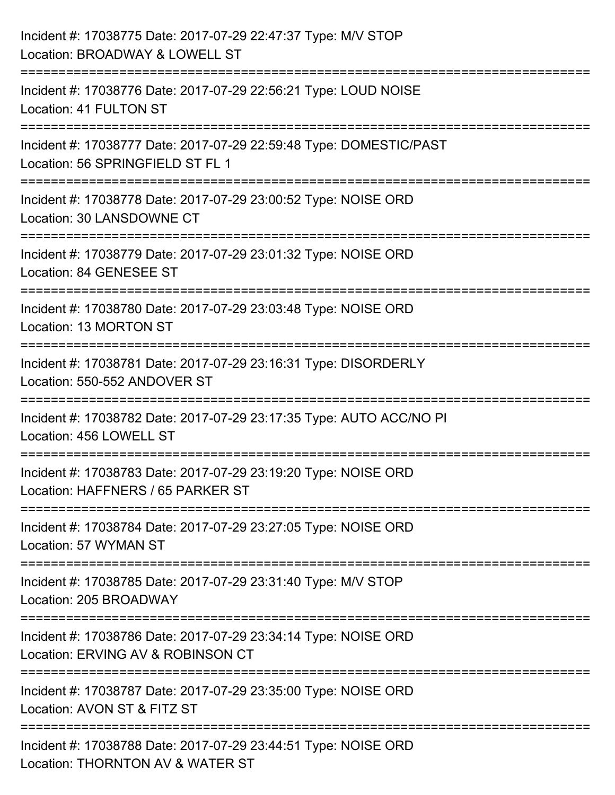| Incident #: 17038775 Date: 2017-07-29 22:47:37 Type: M/V STOP<br>Location: BROADWAY & LOWELL ST                                   |
|-----------------------------------------------------------------------------------------------------------------------------------|
| =====================<br>Incident #: 17038776 Date: 2017-07-29 22:56:21 Type: LOUD NOISE<br>Location: 41 FULTON ST                |
| Incident #: 17038777 Date: 2017-07-29 22:59:48 Type: DOMESTIC/PAST<br>Location: 56 SPRINGFIELD ST FL 1<br>======================= |
| Incident #: 17038778 Date: 2017-07-29 23:00:52 Type: NOISE ORD<br>Location: 30 LANSDOWNE CT                                       |
| Incident #: 17038779 Date: 2017-07-29 23:01:32 Type: NOISE ORD<br>Location: 84 GENESEE ST                                         |
| Incident #: 17038780 Date: 2017-07-29 23:03:48 Type: NOISE ORD<br>Location: 13 MORTON ST                                          |
| Incident #: 17038781 Date: 2017-07-29 23:16:31 Type: DISORDERLY<br>Location: 550-552 ANDOVER ST                                   |
| Incident #: 17038782 Date: 2017-07-29 23:17:35 Type: AUTO ACC/NO PI<br>Location: 456 LOWELL ST                                    |
| Incident #: 17038783 Date: 2017-07-29 23:19:20 Type: NOISE ORD<br>Location: HAFFNERS / 65 PARKER ST                               |
| Incident #: 17038784 Date: 2017-07-29 23:27:05 Type: NOISE ORD<br>Location: 57 WYMAN ST                                           |
| Incident #: 17038785 Date: 2017-07-29 23:31:40 Type: M/V STOP<br>Location: 205 BROADWAY                                           |
| Incident #: 17038786 Date: 2017-07-29 23:34:14 Type: NOISE ORD<br>Location: ERVING AV & ROBINSON CT                               |
| Incident #: 17038787 Date: 2017-07-29 23:35:00 Type: NOISE ORD<br>Location: AVON ST & FITZ ST                                     |
| Incident #: 17038788 Date: 2017-07-29 23:44:51 Type: NOISE ORD<br>Location: THORNTON AV & WATER ST                                |